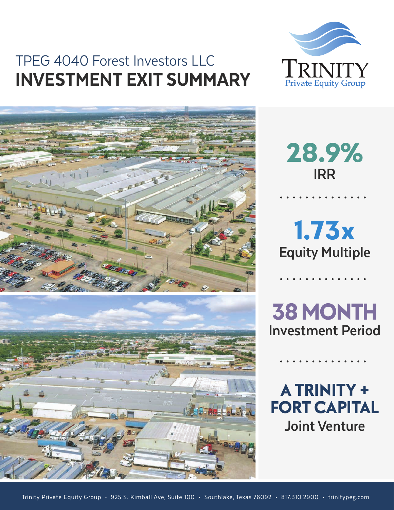## TPEG 4040 Forest Investors LLC INVESTMENT EXIT SUMMARY







**28.9% IRR**

**Equity Multiple 1.73x**

**Investment Period 38 MONTH**

**A TRINITY + FORT CAPITAL Joint Venture**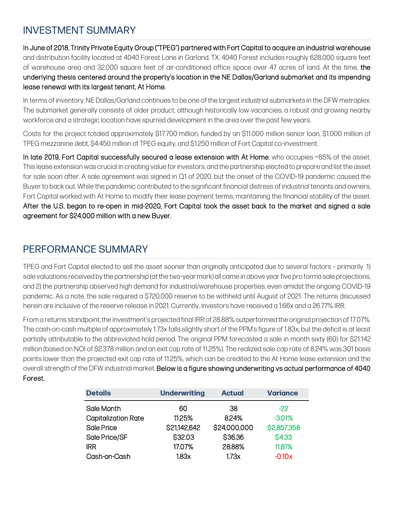## INVESTMENT SUMMARY

In June of 2018, Trinity Private Equity Group ("TPEG") partnered with Fort Capital to acquire an industrial warehouse and distribution facility located at 4040 Forest Lane in Garland, TX. 4040 Forest includes roughly 628,000 square feet of warehouse area and 32,000 square feet of air-conditioned office space over 47 acres of land. At the time, the underlying thesis centered around the property's location in the NE Dallas/Garland submarket and its impending lease renewal with its largest tenant, At Home.

In terms of inventory, NE Dallas/Garland continues to be one of the largest industrial submarkets in the DFW metroplex. The submarket generally consists of older product, although historically low vacancies, a robust and growing nearby workforce and a strategic location have spurred development in the area over the past few years.

Costs for the project totaled approximately \$17.700 million, funded by an \$11.000 million senior loan, \$1.000 million of TPEG mezzanine debt, \$4.450 million of TPEG equity, and \$1.250 million of Fort Capital co-investment.

In late 2019, Fort Capital successfully secured a lease extension with At Home, who occupies ~85% of the asset. This lease extension was crucial in creating value for investors, and the partnership elected to prepare and list the asset for sale soon after. A sale agreement was signed in Q1 of 2020, but the onset of the COVID-19 pandemic caused the Buyer to back out. While the pandemic contributed to the significant financial distress of industrial tenants and owners, Fort Capital worked with At Home to modify their lease payment terms, maintaining the financial stability of the asset. After the U.S. began to re-open in mid-2020, Fort Capital took the asset back to the market and signed a sale agreement for \$24.000 million with a new Buyer.

## PERFORMANCE SUMMARY

TPEG and Fort Capital elected to sell the asset sooner than originally anticipated due to several factors – primarily 1) sale valuations received by the partnership (at the two-year mark) all came in above year five pro forma sale projections, and 2) the partnership observed high demand for industrial/warehouse properties, even amidst the ongoing COVID-19 pandemic. As a note, the sale required a \$720,000 reserve to be withheld until August of 2021. The returns discussed herein are inclusive of the reserve release in 2021. Currently, investors have received a 1.66x and a 26.77% IRR.

From a returns standpoint, the investment's projected final IRR of 28.88% outperformed the original projection of 17.07%. The cash-on-cash multiple of approximately 1.73x falls slightly short of the PPM's figure of 1.83x, but the deficit is at least partially attributable to the abbreviated hold period. The original PPM forecasted a sale in month sixty (60) for \$21.142 million (based on NOI of \$2.378 million and an exit cap rate of 11.25%). The realized sale cap rate of 8.24% was 301 basis points lower than the projected exit cap rate of 11.25%, which can be credited to the At Home lease extension and the overall strength of the DFW industrial market. Below is a figure showing underwriting vs actual performance of 4040 Forest.

| <b>Details</b>             | <b>Underwriting</b> | <b>Actual</b> | <b>Variance</b> |  |
|----------------------------|---------------------|---------------|-----------------|--|
| Sale Month                 | 60                  | 38            | $-22$           |  |
| <b>Capitalization Rate</b> | 11.25%              | 8.24%         | $-3.01%$        |  |
| Sale Price                 | \$21,142,642        | \$24,000,000  | \$2,857,358     |  |
| Sale Price/SF              | S32.03              | S36.36        | <b>S4.33</b>    |  |
| <b>IRR</b>                 | 17.07%              | 28.88%        | 11.81%          |  |
| Cash-on-Cash               | 183x                | 1.73x         | $-0.10x$        |  |